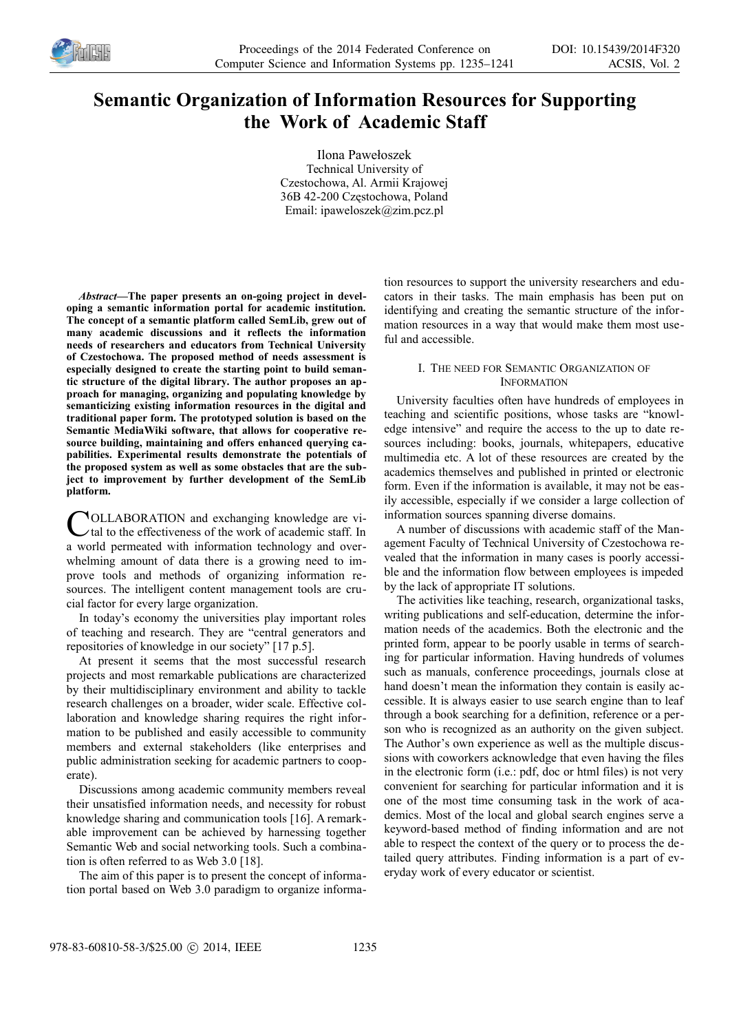

# **Semantic Organization of Information Resources for Supporting the Work of Academic Staff**

Ilona Pawełoszek Technical University of Czestochowa, Al. Armii Krajowej 36B 42-200 Częstochowa, Poland Email: ipaweloszek@zim.pcz.pl

*Abstract—***The paper presents an on-going project in developing a semantic information portal for academic institution. The concept of a semantic platform called SemLib, grew out of many academic discussions and it reflects the information needs of researchers and educators from Technical University of Czestochowa. The proposed method of needs assessment is especially designed to create the starting point to build semantic structure of the digital library. The author proposes an approach for managing, organizing and populating knowledge by semanticizing existing information resources in the digital and traditional paper form. The prototyped solution is based on the Semantic MediaWiki software, that allows for cooperative resource building, maintaining and offers enhanced querying capabilities. Experimental results demonstrate the potentials of the proposed system as well as some obstacles that are the subject to improvement by further development of the SemLib platform.**

OLLABORATION and exchanging knowledge are vi- $\vee$ tal to the effectiveness of the work of academic staff. In **COLLABORATION** and exchanging knowledge are vi-<br>tal to the effectiveness of the work of academic staff. In<br>a world permeated with information technology and overwhelming amount of data there is a growing need to improve tools and methods of organizing information resources. The intelligent content management tools are crucial factor for every large organization.

In today's economy the universities play important roles of teaching and research. They are "central generators and repositories of knowledge in our society" [17 p.5].

At present it seems that the most successful research projects and most remarkable publications are characterized by their multidisciplinary environment and ability to tackle research challenges on a broader, wider scale. Effective collaboration and knowledge sharing requires the right information to be published and easily accessible to community members and external stakeholders (like enterprises and public administration seeking for academic partners to cooperate).

Discussions among academic community members reveal their unsatisfied information needs, and necessity for robust knowledge sharing and communication tools [16]. A remarkable improvement can be achieved by harnessing together Semantic Web and social networking tools. Such a combination is often referred to as Web 3.0 [18].

The aim of this paper is to present the concept of information portal based on Web 3.0 paradigm to organize information resources to support the university researchers and educators in their tasks. The main emphasis has been put on identifying and creating the semantic structure of the information resources in a way that would make them most useful and accessible.

### I. THE NEED FOR SEMANTIC ORGANIZATION OF **INFORMATION**

University faculties often have hundreds of employees in teaching and scientific positions, whose tasks are "knowledge intensive" and require the access to the up to date resources including: books, journals, whitepapers, educative multimedia etc. A lot of these resources are created by the academics themselves and published in printed or electronic form. Even if the information is available, it may not be easily accessible, especially if we consider a large collection of information sources spanning diverse domains.

A number of discussions with academic staff of the Management Faculty of Technical University of Czestochowa revealed that the information in many cases is poorly accessible and the information flow between employees is impeded by the lack of appropriate IT solutions.

The activities like teaching, research, organizational tasks, writing publications and self-education, determine the information needs of the academics. Both the electronic and the printed form, appear to be poorly usable in terms of searching for particular information. Having hundreds of volumes such as manuals, conference proceedings, journals close at hand doesn't mean the information they contain is easily accessible. It is always easier to use search engine than to leaf through a book searching for a definition, reference or a person who is recognized as an authority on the given subject. The Author's own experience as well as the multiple discussions with coworkers acknowledge that even having the files in the electronic form (i.e.: pdf, doc or html files) is not very convenient for searching for particular information and it is one of the most time consuming task in the work of academics. Most of the local and global search engines serve a keyword-based method of finding information and are not able to respect the context of the query or to process the detailed query attributes. Finding information is a part of everyday work of every educator or scientist.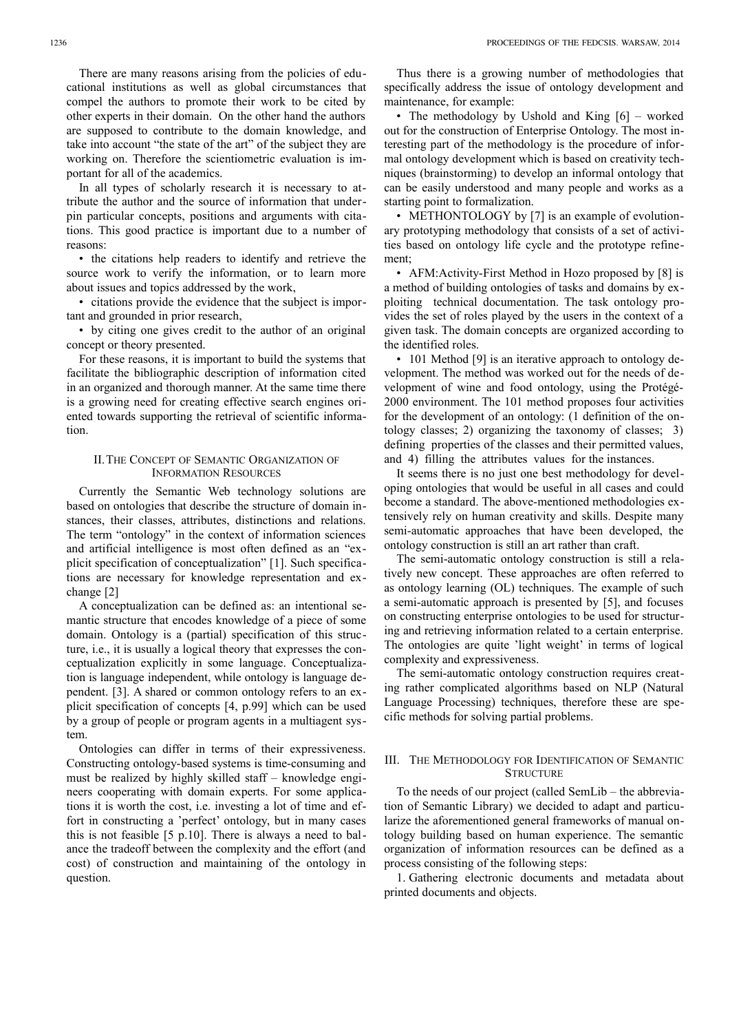In all types of scholarly research it is necessary to attribute the author and the source of information that underpin particular concepts, positions and arguments with citations. This good practice is important due to a number of reasons:

• the citations help readers to identify and retrieve the source work to verify the information, or to learn more about issues and topics addressed by the work,

• citations provide the evidence that the subject is important and grounded in prior research,

• by citing one gives credit to the author of an original concept or theory presented.

For these reasons, it is important to build the systems that facilitate the bibliographic description of information cited in an organized and thorough manner. At the same time there is a growing need for creating effective search engines oriented towards supporting the retrieval of scientific information.

#### II.THE CONCEPT OF SEMANTIC ORGANIZATION OF INFORMATION RESOURCES

Currently the Semantic Web technology solutions are based on ontologies that describe the structure of domain instances, their classes, attributes, distinctions and relations. The term "ontology" in the context of information sciences and artificial intelligence is most often defined as an "explicit specification of conceptualization" [1]. Such specifications are necessary for knowledge representation and exchange [2]

A conceptualization can be defined as: an intentional semantic structure that encodes knowledge of a piece of some domain. Ontology is a (partial) specification of this structure, i.e., it is usually a logical theory that expresses the conceptualization explicitly in some language. Conceptualization is language independent, while ontology is language dependent. [3]. A shared or common ontology refers to an explicit specification of concepts [4, p.99] which can be used by a group of people or program agents in a multiagent system.

Ontologies can differ in terms of their expressiveness. Constructing ontology-based systems is time-consuming and must be realized by highly skilled staff – knowledge engineers cooperating with domain experts. For some applications it is worth the cost, i.e. investing a lot of time and effort in constructing a 'perfect' ontology, but in many cases this is not feasible [5 p.10]. There is always a need to balance the tradeoff between the complexity and the effort (and cost) of construction and maintaining of the ontology in question.

Thus there is a growing number of methodologies that specifically address the issue of ontology development and maintenance, for example:

• The methodology by Ushold and King [6] – worked out for the construction of Enterprise Ontology. The most interesting part of the methodology is the procedure of informal ontology development which is based on creativity techniques (brainstorming) to develop an informal ontology that can be easily understood and many people and works as a starting point to formalization.

• METHONTOLOGY by [7] is an example of evolutionary prototyping methodology that consists of a set of activities based on ontology life cycle and the prototype refinement;

• AFM:Activity-First Method in Hozo proposed by [8] is a method of building ontologies of tasks and domains by exploiting technical documentation. The task ontology provides the set of roles played by the users in the context of a given task. The domain concepts are organized according to the identified roles.

• 101 Method [9] is an iterative approach to ontology development. The method was worked out for the needs of development of wine and food ontology, using the Protégé-2000 environment. The 101 method proposes four activities for the development of an ontology: (1 definition of the ontology classes; 2) organizing the taxonomy of classes; 3) defining properties of the classes and their permitted values, and 4) filling the attributes values for the instances.

It seems there is no just one best methodology for developing ontologies that would be useful in all cases and could become a standard. The above-mentioned methodologies extensively rely on human creativity and skills. Despite many semi-automatic approaches that have been developed, the ontology construction is still an art rather than craft.

The semi-automatic ontology construction is still a relatively new concept. These approaches are often referred to as ontology learning (OL) techniques. The example of such a semi-automatic approach is presented by [5], and focuses on constructing enterprise ontologies to be used for structuring and retrieving information related to a certain enterprise. The ontologies are quite 'light weight' in terms of logical complexity and expressiveness.

The semi-automatic ontology construction requires creating rather complicated algorithms based on NLP (Natural Language Processing) techniques, therefore these are specific methods for solving partial problems.

## III. THE METHODOLOGY FOR IDENTIFICATION OF SEMANTIC **STRUCTURE**

To the needs of our project (called SemLib – the abbreviation of Semantic Library) we decided to adapt and particularize the aforementioned general frameworks of manual ontology building based on human experience. The semantic organization of information resources can be defined as a process consisting of the following steps:

1. Gathering electronic documents and metadata about printed documents and objects.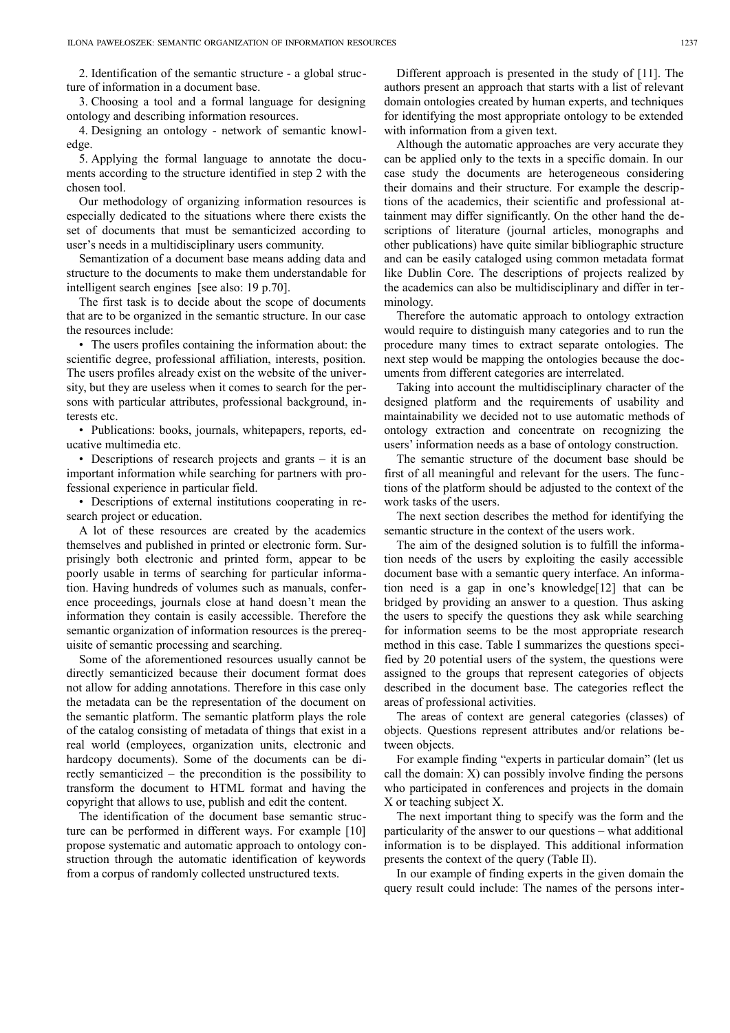2. Identification of the semantic structure - a global structure of information in a document base.

3. Choosing a tool and a formal language for designing ontology and describing information resources.

4. Designing an ontology - network of semantic knowledge.

5. Applying the formal language to annotate the documents according to the structure identified in step 2 with the chosen tool.

Our methodology of organizing information resources is especially dedicated to the situations where there exists the set of documents that must be semanticized according to user's needs in a multidisciplinary users community.

Semantization of a document base means adding data and structure to the documents to make them understandable for intelligent search engines [see also: 19 p.70].

The first task is to decide about the scope of documents that are to be organized in the semantic structure. In our case the resources include:

• The users profiles containing the information about: the scientific degree, professional affiliation, interests, position. The users profiles already exist on the website of the university, but they are useless when it comes to search for the persons with particular attributes, professional background, interests etc.

• Publications: books, journals, whitepapers, reports, educative multimedia etc.

• Descriptions of research projects and grants – it is an important information while searching for partners with professional experience in particular field.

• Descriptions of external institutions cooperating in research project or education.

A lot of these resources are created by the academics themselves and published in printed or electronic form. Surprisingly both electronic and printed form, appear to be poorly usable in terms of searching for particular information. Having hundreds of volumes such as manuals, conference proceedings, journals close at hand doesn't mean the information they contain is easily accessible. Therefore the semantic organization of information resources is the prerequisite of semantic processing and searching.

Some of the aforementioned resources usually cannot be directly semanticized because their document format does not allow for adding annotations. Therefore in this case only the metadata can be the representation of the document on the semantic platform. The semantic platform plays the role of the catalog consisting of metadata of things that exist in a real world (employees, organization units, electronic and hardcopy documents). Some of the documents can be directly semanticized – the precondition is the possibility to transform the document to HTML format and having the copyright that allows to use, publish and edit the content.

The identification of the document base semantic structure can be performed in different ways. For example [10] propose systematic and automatic approach to ontology construction through the automatic identification of keywords from a corpus of randomly collected unstructured texts.

Different approach is presented in the study of [11]. The authors present an approach that starts with a list of relevant domain ontologies created by human experts, and techniques for identifying the most appropriate ontology to be extended with information from a given text.

Although the automatic approaches are very accurate they can be applied only to the texts in a specific domain. In our case study the documents are heterogeneous considering their domains and their structure. For example the descriptions of the academics, their scientific and professional attainment may differ significantly. On the other hand the descriptions of literature (journal articles, monographs and other publications) have quite similar bibliographic structure and can be easily cataloged using common metadata format like Dublin Core. The descriptions of projects realized by the academics can also be multidisciplinary and differ in terminology.

Therefore the automatic approach to ontology extraction would require to distinguish many categories and to run the procedure many times to extract separate ontologies. The next step would be mapping the ontologies because the documents from different categories are interrelated.

Taking into account the multidisciplinary character of the designed platform and the requirements of usability and maintainability we decided not to use automatic methods of ontology extraction and concentrate on recognizing the users' information needs as a base of ontology construction.

The semantic structure of the document base should be first of all meaningful and relevant for the users. The functions of the platform should be adjusted to the context of the work tasks of the users.

The next section describes the method for identifying the semantic structure in the context of the users work.

The aim of the designed solution is to fulfill the information needs of the users by exploiting the easily accessible document base with a semantic query interface. An information need is a gap in one's knowledge[12] that can be bridged by providing an answer to a question. Thus asking the users to specify the questions they ask while searching for information seems to be the most appropriate research method in this case. Table I summarizes the questions specified by 20 potential users of the system, the questions were assigned to the groups that represent categories of objects described in the document base. The categories reflect the areas of professional activities.

The areas of context are general categories (classes) of objects. Questions represent attributes and/or relations between objects.

For example finding "experts in particular domain" (let us call the domain: X) can possibly involve finding the persons who participated in conferences and projects in the domain X or teaching subject X.

The next important thing to specify was the form and the particularity of the answer to our questions – what additional information is to be displayed. This additional information presents the context of the query (Table II).

In our example of finding experts in the given domain the query result could include: The names of the persons inter-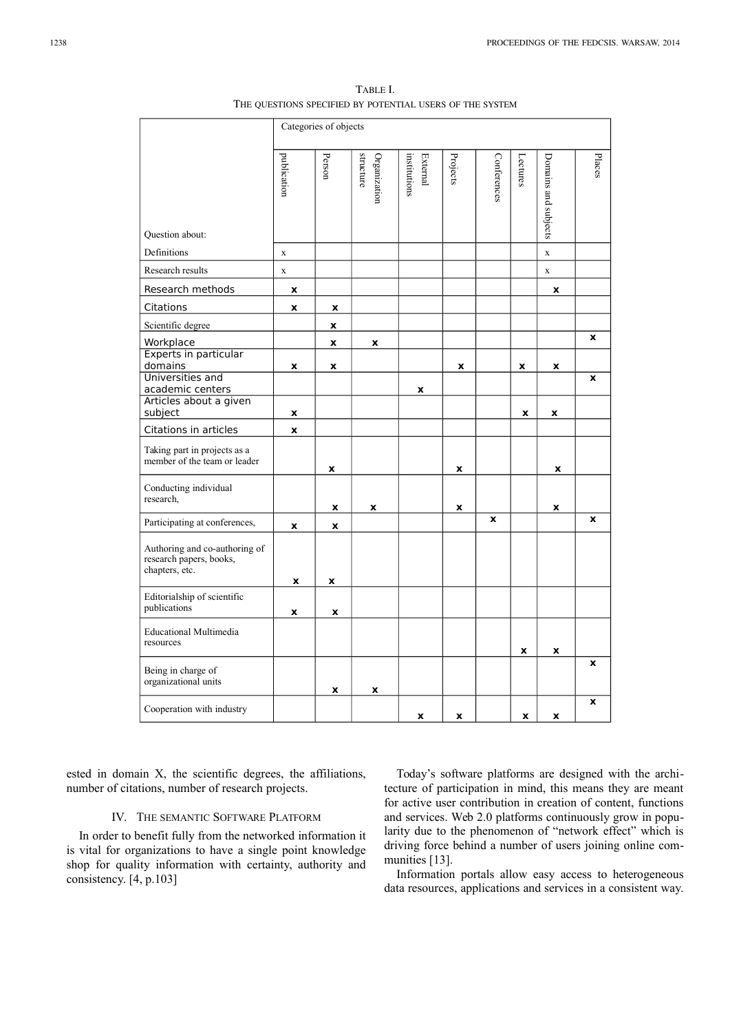TABLE I. THE QUESTIONS SPECIFIED BY POTENTIAL USERS OF THE SYSTEM

|                                                                            | Categories of objects |        |                           |                                 |                    |             |          |                      |        |
|----------------------------------------------------------------------------|-----------------------|--------|---------------------------|---------------------------------|--------------------|-------------|----------|----------------------|--------|
| Question about:                                                            | publication           | Person | structure<br>Organization | <b>External</b><br>institutions | Projects           | Conferences | Lectures | Domains and subjects | Places |
| Definitions                                                                | $\mathbf X$           |        |                           |                                 |                    |             |          | $\mathbf x$          |        |
| Research results                                                           | $\mathbf X$           |        |                           |                                 |                    |             |          | $\mathbf X$          |        |
| Research methods                                                           | x                     |        |                           |                                 |                    |             |          | x                    |        |
| Citations                                                                  | x                     | x      |                           |                                 |                    |             |          |                      |        |
| Scientific degree                                                          |                       | x      |                           |                                 |                    |             |          |                      |        |
| Workplace                                                                  |                       | X      | x                         |                                 |                    |             |          |                      | X      |
| Experts in particular<br>domains                                           | x                     | X      |                           |                                 | X                  |             | X        | X                    |        |
| Universities and<br>academic centers                                       |                       |        |                           | x                               |                    |             |          |                      | X      |
| Articles about a given<br>subject                                          | x                     |        |                           |                                 |                    |             | x        | x                    |        |
| Citations in articles                                                      | x                     |        |                           |                                 |                    |             |          |                      |        |
| Taking part in projects as a<br>member of the team or leader               |                       | x      |                           |                                 | x                  |             |          | x                    |        |
| Conducting individual<br>research,                                         |                       | x      | X                         |                                 | $\pmb{\mathsf{x}}$ |             |          | x                    |        |
| Participating at conferences,                                              | x                     | x      |                           |                                 |                    | X           |          |                      | X      |
| Authoring and co-authoring of<br>research papers, books,<br>chapters, etc. | x                     | x      |                           |                                 |                    |             |          |                      |        |
| Editorialship of scientific<br>publications                                | x                     | x      |                           |                                 |                    |             |          |                      |        |
| <b>Educational Multimedia</b><br>resources                                 |                       |        |                           |                                 |                    |             | x        | x                    |        |
| Being in charge of<br>organizational units                                 |                       | x      | x                         |                                 |                    |             |          |                      | X      |
| Cooperation with industry                                                  |                       |        |                           | X                               | x                  |             | X        | x                    | X      |

ested in domain X, the scientific degrees, the affiliations, number of citations, number of research projects.

#### IV. THE SEMANTIC SOFTWARE PLATFORM

In order to benefit fully from the networked information it is vital for organizations to have a single point knowledge shop for quality information with certainty, authority and consistency. [4, p.103]

Today's software platforms are designed with the architecture of participation in mind, this means they are meant for active user contribution in creation of content, functions and services. Web 2.0 platforms continuously grow in popularity due to the phenomenon of "network effect" which is driving force behind a number of users joining online communities [13].

Information portals allow easy access to heterogeneous data resources, applications and services in a consistent way.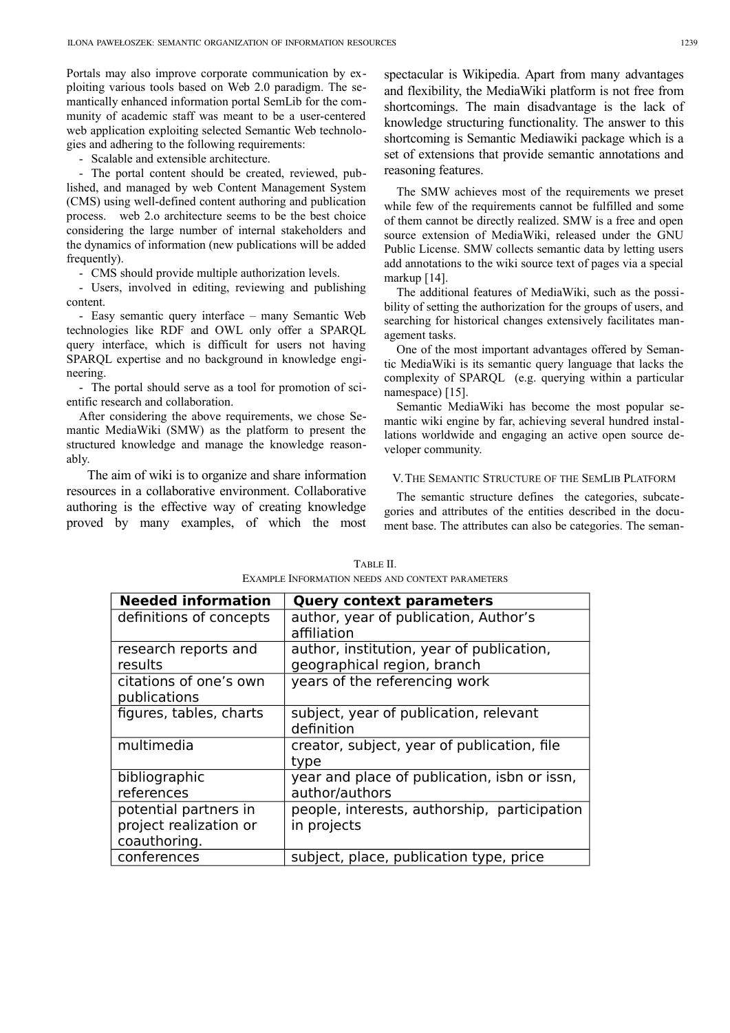Portals may also improve corporate communication by exploiting various tools based on Web 2.0 paradigm. The semantically enhanced information portal SemLib for the community of academic staff was meant to be a user-centered web application exploiting selected Semantic Web technologies and adhering to the following requirements:

- Scalable and extensible architecture.

- The portal content should be created, reviewed, published, and managed by web Content Management System (CMS) using well-defined content authoring and publication process. web 2.o architecture seems to be the best choice considering the large number of internal stakeholders and the dynamics of information (new publications will be added frequently).

- CMS should provide multiple authorization levels.

- Users, involved in editing, reviewing and publishing content.

- Easy semantic query interface – many Semantic Web technologies like RDF and OWL only offer a SPARQL query interface, which is difficult for users not having SPARQL expertise and no background in knowledge engineering.

- The portal should serve as a tool for promotion of scientific research and collaboration.

After considering the above requirements, we chose Semantic MediaWiki (SMW) as the platform to present the structured knowledge and manage the knowledge reasonably.

The aim of wiki is to organize and share information resources in a collaborative environment. Collaborative authoring is the effective way of creating knowledge proved by many examples, of which the most

spectacular is Wikipedia. Apart from many advantages and flexibility, the MediaWiki platform is not free from shortcomings. The main disadvantage is the lack of knowledge structuring functionality. The answer to this shortcoming is Semantic Mediawiki package which is a set of extensions that provide semantic annotations and reasoning features.

The SMW achieves most of the requirements we preset while few of the requirements cannot be fulfilled and some of them cannot be directly realized. SMW is a free and open source extension of MediaWiki, released under the GNU Public License. SMW collects semantic data by letting users add annotations to the wiki source text of pages via a special markup [14].

The additional features of MediaWiki, such as the possibility of setting the authorization for the groups of users, and searching for historical changes extensively facilitates management tasks.

One of the most important advantages offered by Semantic MediaWiki is its semantic query language that lacks the complexity of SPARQL (e.g. querying within a particular namespace) [15].

Semantic MediaWiki has become the most popular semantic wiki engine by far, achieving several hundred installations worldwide and engaging an active open source developer community.

#### V.THE SEMANTIC STRUCTURE OF THE SEMLIB PLATFORM

The semantic structure defines the categories, subcategories and attributes of the entities described in the document base. The attributes can also be categories. The seman-

| <b>Needed information</b>                                       | <b>Query context parameters</b>                                          |
|-----------------------------------------------------------------|--------------------------------------------------------------------------|
| definitions of concepts                                         | author, year of publication, Author's<br>affiliation                     |
| research reports and<br>results                                 | author, institution, year of publication,<br>geographical region, branch |
| citations of one's own<br>publications                          | years of the referencing work                                            |
| figures, tables, charts                                         | subject, year of publication, relevant<br>definition                     |
| multimedia                                                      | creator, subject, year of publication, file<br>type                      |
| bibliographic<br>references                                     | year and place of publication, isbn or issn,<br>author/authors           |
| potential partners in<br>project realization or<br>coauthoring. | people, interests, authorship, participation<br>in projects              |
| conferences                                                     | subject, place, publication type, price                                  |

TABLE II. EXAMPLE INFORMATION NEEDS AND CONTEXT PARAMETERS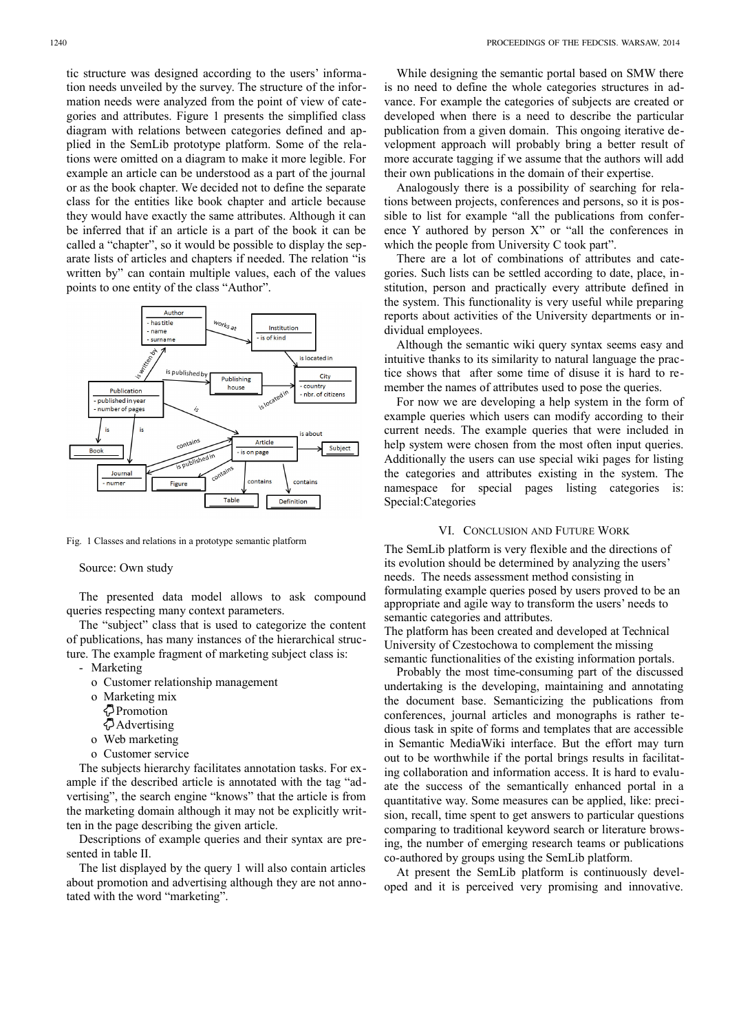tic structure was designed according to the users' information needs unveiled by the survey. The structure of the information needs were analyzed from the point of view of categories and attributes. Figure 1 presents the simplified class diagram with relations between categories defined and applied in the SemLib prototype platform. Some of the relations were omitted on a diagram to make it more legible. For example an article can be understood as a part of the journal or as the book chapter. We decided not to define the separate class for the entities like book chapter and article because they would have exactly the same attributes. Although it can be inferred that if an article is a part of the book it can be called a "chapter", so it would be possible to display the separate lists of articles and chapters if needed. The relation "is written by" can contain multiple values, each of the values points to one entity of the class "Author".



Fig. 1 Classes and relations in a prototype semantic platform

Source: Own study

The presented data model allows to ask compound queries respecting many context parameters.

The "subject" class that is used to categorize the content of publications, has many instances of the hierarchical structure. The example fragment of marketing subject class is:

- Marketing
	- o Customer relationship management
	- o Marketing mix
	- Promotion
	- Advertising
	- o Web marketing
	- o Customer service

The subjects hierarchy facilitates annotation tasks. For example if the described article is annotated with the tag "advertising", the search engine "knows" that the article is from the marketing domain although it may not be explicitly written in the page describing the given article.

Descriptions of example queries and their syntax are presented in table II.

The list displayed by the query 1 will also contain articles about promotion and advertising although they are not annotated with the word "marketing".

While designing the semantic portal based on SMW there is no need to define the whole categories structures in advance. For example the categories of subjects are created or developed when there is a need to describe the particular publication from a given domain. This ongoing iterative development approach will probably bring a better result of more accurate tagging if we assume that the authors will add their own publications in the domain of their expertise.

Analogously there is a possibility of searching for relations between projects, conferences and persons, so it is possible to list for example "all the publications from conference Y authored by person X" or "all the conferences in which the people from University C took part".

There are a lot of combinations of attributes and categories. Such lists can be settled according to date, place, institution, person and practically every attribute defined in the system. This functionality is very useful while preparing reports about activities of the University departments or individual employees.

Although the semantic wiki query syntax seems easy and intuitive thanks to its similarity to natural language the practice shows that after some time of disuse it is hard to remember the names of attributes used to pose the queries.

For now we are developing a help system in the form of example queries which users can modify according to their current needs. The example queries that were included in help system were chosen from the most often input queries. Additionally the users can use special wiki pages for listing the categories and attributes existing in the system. The namespace for special pages listing categories is: Special:Categories

#### VI. CONCLUSION AND FUTURE WORK

The SemLib platform is very flexible and the directions of its evolution should be determined by analyzing the users' needs. The needs assessment method consisting in formulating example queries posed by users proved to be an appropriate and agile way to transform the users' needs to semantic categories and attributes.

The platform has been created and developed at Technical University of Czestochowa to complement the missing semantic functionalities of the existing information portals.

Probably the most time-consuming part of the discussed undertaking is the developing, maintaining and annotating the document base. Semanticizing the publications from conferences, journal articles and monographs is rather tedious task in spite of forms and templates that are accessible in Semantic MediaWiki interface. But the effort may turn out to be worthwhile if the portal brings results in facilitating collaboration and information access. It is hard to evaluate the success of the semantically enhanced portal in a quantitative way. Some measures can be applied, like: precision, recall, time spent to get answers to particular questions comparing to traditional keyword search or literature browsing, the number of emerging research teams or publications co-authored by groups using the SemLib platform.

At present the SemLib platform is continuously developed and it is perceived very promising and innovative.